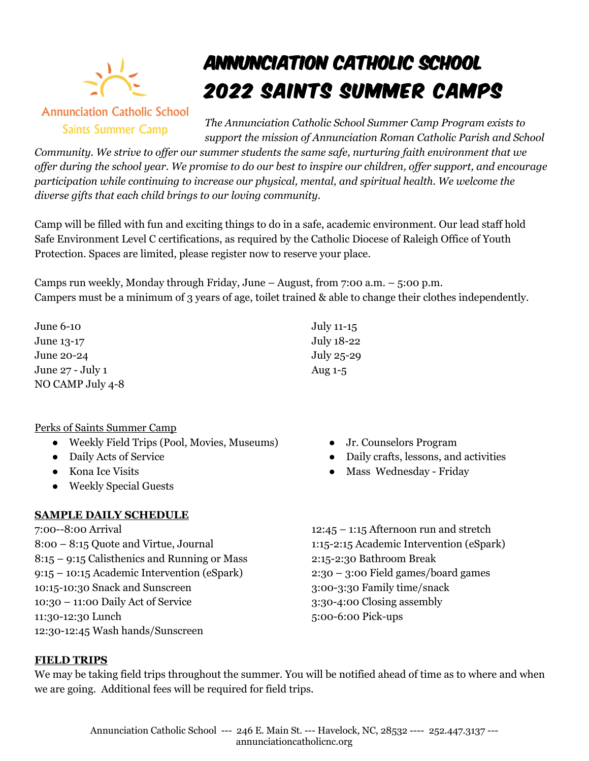

**Annunciation Catholic School Saints Summer Camp** 

# Annunciation Catholic School 2022 Saints Summer Camps

*The Annunciation Catholic School Summer Camp Program exists to support the mission of Annunciation Roman Catholic Parish and School* 

*Community. We strive to offer our summer students the same safe, nurturing faith environment that we offer during the school year. We promise to do our best to inspire our children, offer support, and encourage participation while continuing to increase our physical, mental, and spiritual health. We welcome the diverse gifts that each child brings to our loving community.*

Camp will be filled with fun and exciting things to do in a safe, academic environment. Our lead staff hold Safe Environment Level C certifications, as required by the Catholic Diocese of Raleigh Office of Youth Protection. Spaces are limited, please register now to reserve your place.

Camps run weekly, Monday through Friday, June – August, from 7:00 a.m. – 5:00 p.m. Campers must be a minimum of 3 years of age, toilet trained & able to change their clothes independently.

June 6-10 June 13-17 June 20-24 June 27 - July 1 NO CAMP July 4-8

## Perks of Saints Summer Camp

- Weekly Field Trips (Pool, Movies, Museums)
- Daily Acts of Service
- Kona Ice Visits
- Weekly Special Guests

# **SAMPLE DAILY SCHEDULE**

7:00--8:00 Arrival 8:00 – 8:15 Quote and Virtue, Journal 8:15 – 9:15 Calisthenics and Running or Mass 9:15 – 10:15 Academic Intervention (eSpark) 10:15-10:30 Snack and Sunscreen 10:30 – 11:00 Daily Act of Service 11:30-12:30 Lunch 12:30-12:45 Wash hands/Sunscreen

- July 11-15 July 18-22 July 25-29 Aug 1-5
	- Jr. Counselors Program
	- Daily crafts, lessons, and activities
	- Mass Wednesday Friday

 $12:45 - 1:15$  Afternoon run and stretch 1:15-2:15 Academic Intervention (eSpark) 2:15-2:30 Bathroom Break 2:30 – 3:00 Field games/board games 3:00-3:30 Family time/snack 3:30-4:00 Closing assembly 5:00-6:00 Pick-ups

## **FIELD TRIPS**

We may be taking field trips throughout the summer. You will be notified ahead of time as to where and when we are going. Additional fees will be required for field trips.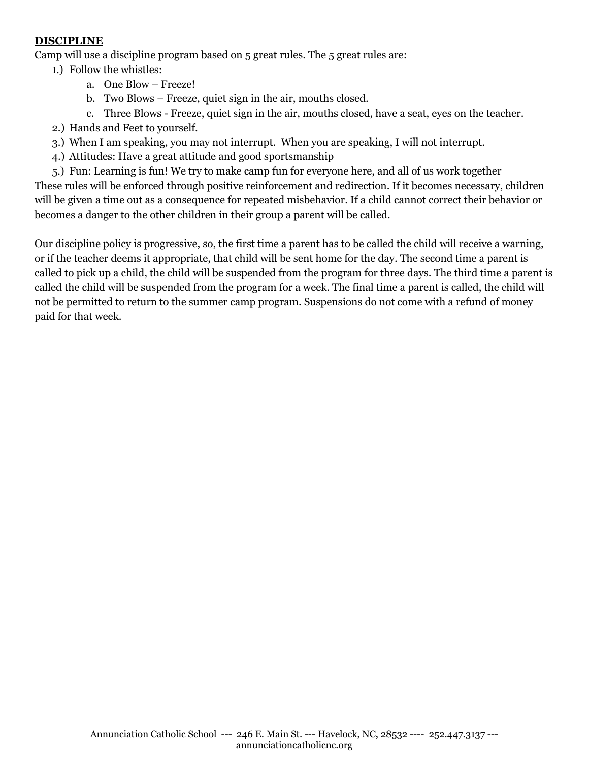## **DISCIPLINE**

Camp will use a discipline program based on 5 great rules. The 5 great rules are:

- 1.) Follow the whistles:
	- a. One Blow Freeze!
	- b. Two Blows Freeze, quiet sign in the air, mouths closed.
	- c. Three Blows Freeze, quiet sign in the air, mouths closed, have a seat, eyes on the teacher.
- 2.) Hands and Feet to yourself.
- 3.) When I am speaking, you may not interrupt. When you are speaking, I will not interrupt.
- 4.) Attitudes: Have a great attitude and good sportsmanship
- 5.) Fun: Learning is fun! We try to make camp fun for everyone here, and all of us work together

These rules will be enforced through positive reinforcement and redirection. If it becomes necessary, children will be given a time out as a consequence for repeated misbehavior. If a child cannot correct their behavior or becomes a danger to the other children in their group a parent will be called.

Our discipline policy is progressive, so, the first time a parent has to be called the child will receive a warning, or if the teacher deems it appropriate, that child will be sent home for the day. The second time a parent is called to pick up a child, the child will be suspended from the program for three days. The third time a parent is called the child will be suspended from the program for a week. The final time a parent is called, the child will not be permitted to return to the summer camp program. Suspensions do not come with a refund of money paid for that week.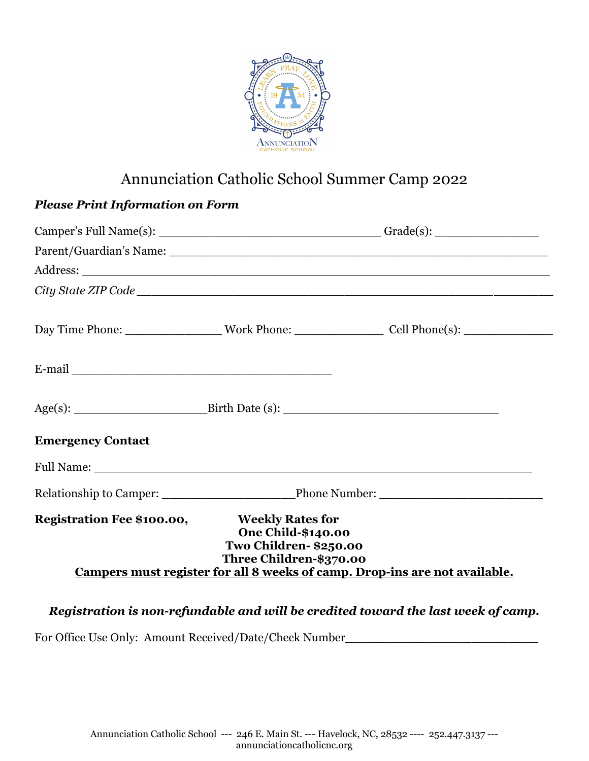

# Annunciation Catholic School Summer Camp 2022

| <b>Please Print Information on Form</b>                                                                                                                                                                                       |  |                                                                                                                |  |
|-------------------------------------------------------------------------------------------------------------------------------------------------------------------------------------------------------------------------------|--|----------------------------------------------------------------------------------------------------------------|--|
|                                                                                                                                                                                                                               |  |                                                                                                                |  |
|                                                                                                                                                                                                                               |  |                                                                                                                |  |
|                                                                                                                                                                                                                               |  |                                                                                                                |  |
|                                                                                                                                                                                                                               |  |                                                                                                                |  |
|                                                                                                                                                                                                                               |  | Day Time Phone: ________________________Work Phone: ____________________________Cell Phone(s): _______________ |  |
| E-mail entry and the contract of the contract of the contract of the contract of the contract of the contract of the contract of the contract of the contract of the contract of the contract of the contract of the contract |  |                                                                                                                |  |
|                                                                                                                                                                                                                               |  |                                                                                                                |  |
| <b>Emergency Contact</b>                                                                                                                                                                                                      |  |                                                                                                                |  |
|                                                                                                                                                                                                                               |  |                                                                                                                |  |
|                                                                                                                                                                                                                               |  |                                                                                                                |  |
| Registration Fee \$100.00,<br><b>Weekly Rates for</b><br><b>One Child-\$140.00</b><br>Two Children- \$250.00<br>Three Children-\$370.00<br>Campers must register for all 8 weeks of camp. Drop-ins are not available.         |  |                                                                                                                |  |

# *Registration is non-refundable and will be credited toward the last week of camp.*

For Office Use Only: Amount Received/Date/Check Number\_\_\_\_\_\_\_\_\_\_\_\_\_\_\_\_\_\_\_\_\_\_\_\_\_\_